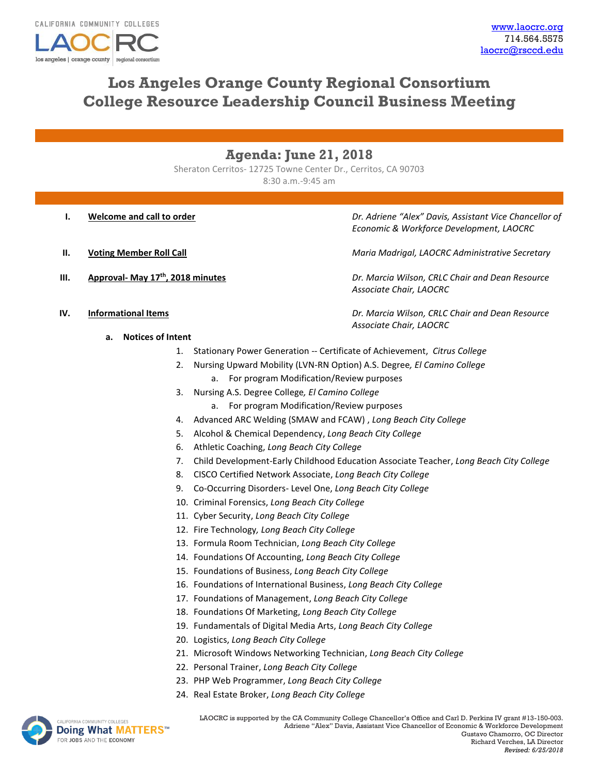

# **Los Angeles Orange County Regional Consortium College Resource Leadership Council Business Meeting**

# **Agenda: June 21, 2018**

Sheraton Cerritos- 12725 Towne Center Dr., Cerritos, CA 90703 8:30 a.m.-9:45 am

- 
- 
- 

**I. Welcome and call to order** *Dr. Adriene "Alex" Davis, Assistant Vice Chancellor of Economic & Workforce Development, LAOCRC*

**II. Voting Member Roll Call Maria Madrigal, LAOCRC Administrative Secretary Maria Madrigal, LAOCRC Administrative Secretary** 

**III. Approval- May 17th, 2018 minutes** *Dr. Marcia Wilson, CRLC Chair and Dean Resource Associate Chair, LAOCRC*

**IV. Informational Items** *Dr. Marcia Wilson, CRLC Chair and Dean Resource Associate Chair, LAOCRC*

- **a. Notices of Intent**
	- 1. Stationary Power Generation -- Certificate of Achievement, *Citrus College*
	- 2. Nursing Upward Mobility (LVN-RN Option) A.S. Degree*, El Camino College*
		- a. For program Modification/Review purposes
	- 3. Nursing A.S. Degree College*, El Camino College*
		- a. For program Modification/Review purposes
	- 4. Advanced ARC Welding (SMAW and FCAW) , *Long Beach City College*
	- 5. Alcohol & Chemical Dependency, *Long Beach City College*
	- 6. Athletic Coaching, *Long Beach City College*
	- 7. Child Development-Early Childhood Education Associate Teacher, *Long Beach City College*
	- 8. CISCO Certified Network Associate, *Long Beach City College*
	- 9. Co-Occurring Disorders- Level One, *Long Beach City College*
	- 10. Criminal Forensics, *Long Beach City College*
	- 11. Cyber Security, *Long Beach City College*
	- 12. Fire Technology*, Long Beach City College*
	- 13. Formula Room Technician, *Long Beach City College*
	- 14. Foundations Of Accounting, *Long Beach City College*
	- 15. Foundations of Business, *Long Beach City College*
	- 16. Foundations of International Business, *Long Beach City College*
	- 17. Foundations of Management, *Long Beach City College*
	- 18. Foundations Of Marketing, *Long Beach City College*
	- 19. Fundamentals of Digital Media Arts, *Long Beach City College*
	- 20. Logistics, *Long Beach City College*
	- 21. Microsoft Windows Networking Technician, *Long Beach City College*
	- 22. Personal Trainer, *Long Beach City College*
	- 23. PHP Web Programmer, *Long Beach City College*
	- 24. Real Estate Broker, *Long Beach City College*



LAOCRC is supported by the CA Community College Chancellor's Office and Carl D. Perkins IV grant #13-150-003. Adriene "Alex" Davis, Assistant Vice Chancellor of Economic & Workforce Development Gustavo Chamorro, OC Director Richard Verches, LA Director *Revised: 6/25/2018*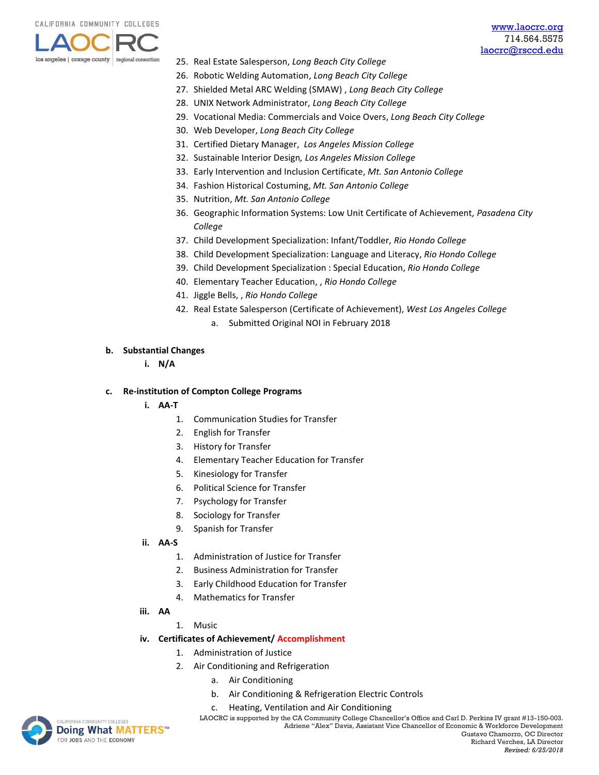

- 25. Real Estate Salesperson, *Long Beach City College*
- 26. Robotic Welding Automation, *Long Beach City College*
- 27. Shielded Metal ARC Welding (SMAW) , *Long Beach City College*
- 28. UNIX Network Administrator, *Long Beach City College*
- 29. Vocational Media: Commercials and Voice Overs, *Long Beach City College*
- 30. Web Developer, *Long Beach City College*
- 31. Certified Dietary Manager, *Los Angeles Mission College*
- 32. Sustainable Interior Design*, Los Angeles Mission College*
- 33. Early Intervention and Inclusion Certificate, *Mt. San Antonio College*
- 34. Fashion Historical Costuming, *Mt. San Antonio College*
- 35. Nutrition, *Mt. San Antonio College*
- 36. Geographic Information Systems: Low Unit Certificate of Achievement*, Pasadena City College*
- 37. Child Development Specialization: Infant/Toddler, *Rio Hondo College*
- 38. Child Development Specialization: Language and Literacy, *Rio Hondo College*
- 39. Child Development Specialization : Special Education, *Rio Hondo College*
- 40. Elementary Teacher Education, , *Rio Hondo College*
- 41. Jiggle Bells, , *Rio Hondo College*
- 42. Real Estate Salesperson (Certificate of Achievement), *West Los Angeles College* a. Submitted Original NOI in February 2018

#### **b. Substantial Changes**

**i. N/A**

#### **c. Re-institution of Compton College Programs**

- **i. AA-T**
	- 1. Communication Studies for Transfer
	- 2. English for Transfer
	- 3. History for Transfer
	- 4. Elementary Teacher Education for Transfer
	- 5. Kinesiology for Transfer
	- 6. Political Science for Transfer
	- 7. Psychology for Transfer
	- 8. Sociology for Transfer
	- 9. Spanish for Transfer
- **ii. AA-S**
	- 1. Administration of Justice for Transfer
	- 2. Business Administration for Transfer
	- 3. Early Childhood Education for Transfer
	- 4. Mathematics for Transfer
- **iii. AA**
	- 1. Music

## **iv. Certificates of Achievement/ Accomplishment**

- 1. Administration of Justice
- 2. Air Conditioning and Refrigeration
	- a. Air Conditioning
	- b. Air Conditioning & Refrigeration Electric Controls
	- c. Heating, Ventilation and Air Conditioning

INITY COLLEGES **Doing What MATTERS™** FOR JOBS AND THE ECONOMY

LAOCRC is supported by the CA Community College Chancellor's Office and Carl D. Perkins IV grant #13-150-003. Adriene "Alex" Davis, Assistant Vice Chancellor of Economic & Workforce Development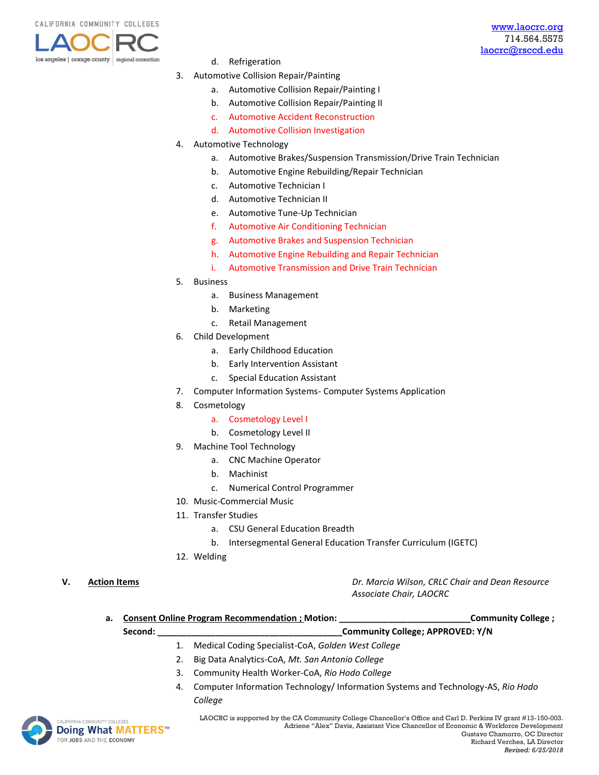

- d. Refrigeration
- 3. Automotive Collision Repair/Painting
	- a. Automotive Collision Repair/Painting I
	- b. Automotive Collision Repair/Painting II
	- c. Automotive Accident Reconstruction
	- d. Automotive Collision Investigation
- 4. Automotive Technology
	- a. Automotive Brakes/Suspension Transmission/Drive Train Technician
	- b. Automotive Engine Rebuilding/Repair Technician
	- c. Automotive Technician I
	- d. Automotive Technician II
	- e. Automotive Tune-Up Technician
	- f. Automotive Air Conditioning Technician
	- g. Automotive Brakes and Suspension Technician
	- h. Automotive Engine Rebuilding and Repair Technician
	- i. Automotive Transmission and Drive Train Technician
- 5. Business
	- a. Business Management
	- b. Marketing
	- c. Retail Management
- 6. Child Development
	- a. Early Childhood Education
	- b. Early Intervention Assistant
	- c. Special Education Assistant
- 7. Computer Information Systems- Computer Systems Application
- 8. Cosmetology
	- a. Cosmetology Level I
	- b. Cosmetology Level II
- 9. Machine Tool Technology
	- a. CNC Machine Operator
	- b. Machinist
	- c. Numerical Control Programmer
- 10. Music-Commercial Music
- 11. Transfer Studies
	- a. CSU General Education Breadth
	- b. Intersegmental General Education Transfer Curriculum (IGETC)
- 12. Welding
- 

**V. Action Items** *Dr. Marcia Wilson, CRLC Chair and Dean Resource Associate Chair, LAOCRC*

| a. | <b>Consent Online Program Recommendation ; Motion:</b> |    |                                                                                  | Community College ; |  |
|----|--------------------------------------------------------|----|----------------------------------------------------------------------------------|---------------------|--|
|    | Second:                                                |    | Community College; APPROVED: Y/N                                                 |                     |  |
|    |                                                        |    | Medical Coding Specialist-CoA, Golden West College                               |                     |  |
|    |                                                        | 2. | Big Data Analytics-CoA, Mt. San Antonio College                                  |                     |  |
|    |                                                        | 3. | Community Health Worker-CoA, Rio Hodo College                                    |                     |  |
|    |                                                        | 4. | Computer Information Technology/ Information Systems and Technology-AS, Rio Hodo |                     |  |
|    |                                                        |    | College                                                                          |                     |  |



LAOCRC is supported by the CA Community College Chancellor's Office and Carl D. Perkins IV grant #13-150-003. Adriene "Alex" Davis, Assistant Vice Chancellor of Economic & Workforce Development Gustavo Chamorro, OC Director Richard Verches, LA Director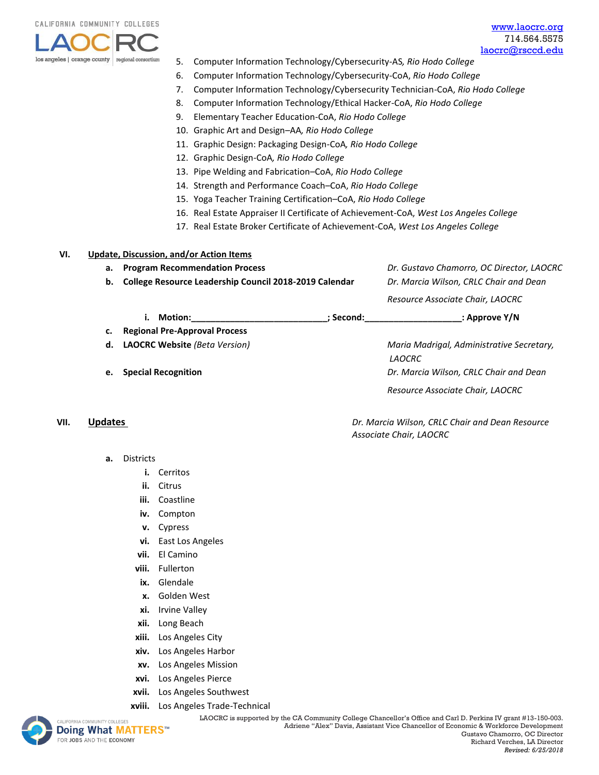

- 5. Computer Information Technology/Cybersecurity-AS*, Rio Hodo College*
- 6. Computer Information Technology/Cybersecurity-CoA, *Rio Hodo College*
- 7. Computer Information Technology/Cybersecurity Technician-CoA, *Rio Hodo College*
- 8. Computer Information Technology/Ethical Hacker-CoA, *Rio Hodo College*
- 9. Elementary Teacher Education-CoA, *Rio Hodo College*
- 10. Graphic Art and Design–AA*, Rio Hodo College*
- 11. Graphic Design: Packaging Design-CoA*, Rio Hodo College*
- 12. Graphic Design-CoA*, Rio Hodo College*
- 13. Pipe Welding and Fabrication–CoA, *Rio Hodo College*
- 14. Strength and Performance Coach–CoA, *Rio Hodo College*
- 15. Yoga Teacher Training Certification–CoA, *Rio Hodo College*
- 16. Real Estate Appraiser II Certificate of Achievement-CoA, *West Los Angeles College*
- 17. Real Estate Broker Certificate of Achievement-CoA, *West Los Angeles College*

#### **VI. Update, Discussion, and/or Action Items**

**a. Program Recommendation Process** *Dr. Gustavo Chamorro, OC Director, LAOCRC*

**b. College Resource Leadership Council 2018-2019 Calendar** *Dr. Marcia Wilson, CRLC Chair and Dean*

*Resource Associate Chair, LAOCRC*

- **i. Motion:\_\_\_\_\_\_\_\_\_\_\_\_\_\_\_\_\_\_\_\_\_\_\_\_\_\_\_\_; Second:\_\_\_\_\_\_\_\_\_\_\_\_\_\_\_\_\_\_\_\_: Approve Y/N**
- **c. Regional Pre-Approval Process**
- **d. LAOCRC Website** *(Beta Version) Maria Madrigal, Administrative Secretary,*
- 

*LAOCRC* **e. Special Recognition** *Dr. Marcia Wilson, CRLC Chair and Dean Resource Associate Chair, LAOCRC*

## **VII. Updates** *Dr. Marcia Wilson, CRLC Chair and Dean Resource*

- **a.** Districts
	- **i.** Cerritos
	- **ii.** Citrus
	- **iii.** Coastline
	- **iv.** Compton
	- **v.** Cypress
	- **vi.** East Los Angeles
	- **vii.** El Camino
	- **viii.** Fullerton
	- **ix.** Glendale
	- **x.** Golden West
	- **xi.** Irvine Valley
	- **xii.** Long Beach
	- **xiii.** Los Angeles City
	- **xiv.** Los Angeles Harbor
	- **xv.** Los Angeles Mission
	- **xvi.** Los Angeles Pierce
	- **xvii.** Los Angeles Southwest
	- **xviii.** [Los An](http://www.doingwhatmatters.cccco.edu/)geles Trade-Technical



 LAOCRC is supported by the CA Community College Chancellor's Office and Carl D. Perkins IV grant #13-150-003. Adriene "Alex" Davis, Assistant Vice Chancellor of Economic & Workforce Development Gustavo Chamorro, OC Director Richard Verches, LA Director *Revised: 6/25/2018*

*Associate Chair, LAOCRC*